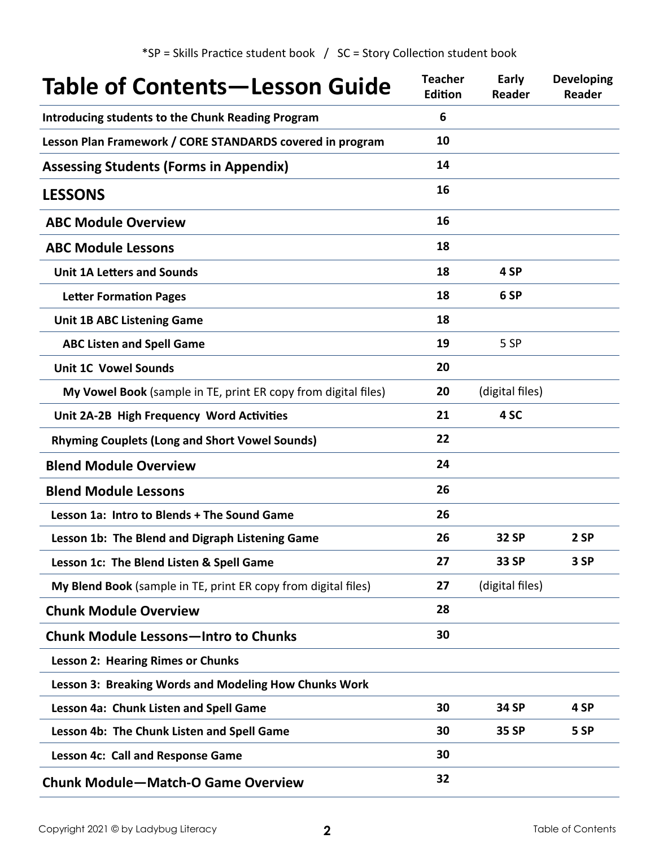| Table of Contents - Lesson Guide                               | <b>Teacher</b><br><b>Edition</b> | Early<br><b>Reader</b> | <b>Developing</b><br>Reader |
|----------------------------------------------------------------|----------------------------------|------------------------|-----------------------------|
| <b>Introducing students to the Chunk Reading Program</b>       | 6                                |                        |                             |
| Lesson Plan Framework / CORE STANDARDS covered in program      | 10                               |                        |                             |
| <b>Assessing Students (Forms in Appendix)</b>                  | 14                               |                        |                             |
| <b>LESSONS</b>                                                 | 16                               |                        |                             |
| <b>ABC Module Overview</b>                                     | 16                               |                        |                             |
| <b>ABC Module Lessons</b>                                      | 18                               |                        |                             |
| <b>Unit 1A Letters and Sounds</b>                              | 18                               | 4 SP                   |                             |
| <b>Letter Formation Pages</b>                                  | 18                               | 6 SP                   |                             |
| <b>Unit 1B ABC Listening Game</b>                              | 18                               |                        |                             |
| <b>ABC Listen and Spell Game</b>                               | 19                               | 5 SP                   |                             |
| <b>Unit 1C Vowel Sounds</b>                                    | 20                               |                        |                             |
| My Vowel Book (sample in TE, print ER copy from digital files) | 20                               | (digital files)        |                             |
| Unit 2A-2B High Frequency Word Activities                      | 21                               | 4 SC                   |                             |
| <b>Rhyming Couplets (Long and Short Vowel Sounds)</b>          | 22                               |                        |                             |
| <b>Blend Module Overview</b>                                   | 24                               |                        |                             |
| <b>Blend Module Lessons</b>                                    | 26                               |                        |                             |
| Lesson 1a: Intro to Blends + The Sound Game                    | 26                               |                        |                             |
| Lesson 1b: The Blend and Digraph Listening Game                | 26                               | <b>32 SP</b>           | 2 SP                        |
| Lesson 1c: The Blend Listen & Spell Game                       | 27                               | 33 SP                  | 3 SP                        |
| My Blend Book (sample in TE, print ER copy from digital files) | 27                               | (digital files)        |                             |
| <b>Chunk Module Overview</b>                                   | 28                               |                        |                             |
| <b>Chunk Module Lessons-Intro to Chunks</b>                    | 30                               |                        |                             |
| <b>Lesson 2: Hearing Rimes or Chunks</b>                       |                                  |                        |                             |
| Lesson 3: Breaking Words and Modeling How Chunks Work          |                                  |                        |                             |
| Lesson 4a: Chunk Listen and Spell Game                         | 30                               | 34 SP                  | 4 SP                        |
| Lesson 4b: The Chunk Listen and Spell Game                     | 30                               | 35 SP                  | 5 SP                        |
| Lesson 4c: Call and Response Game                              | 30                               |                        |                             |
| <b>Chunk Module-Match-O Game Overview</b>                      | 32                               |                        |                             |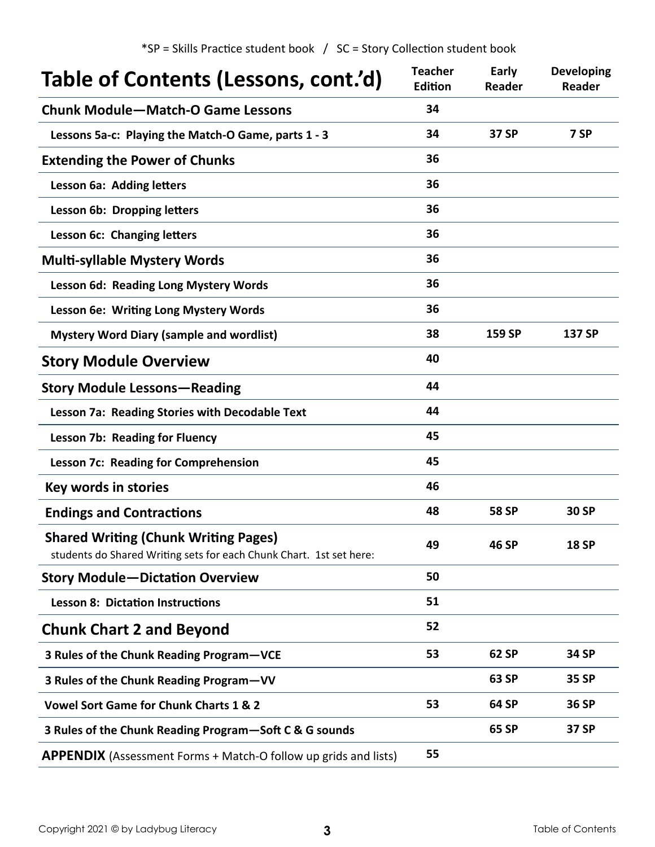$*SP =$  Skills Practice student book  $/$  SC = Story Collection student book

| Table of Contents (Lessons, cont.'d)                                                                               | <b>Teacher</b><br>Edition | Early<br><b>Reader</b> | <b>Developing</b><br><b>Reader</b> |
|--------------------------------------------------------------------------------------------------------------------|---------------------------|------------------------|------------------------------------|
| <b>Chunk Module-Match-O Game Lessons</b>                                                                           | 34                        |                        |                                    |
| Lessons 5a-c: Playing the Match-O Game, parts 1 - 3                                                                | 34                        | 37 SP                  | 7 SP                               |
| <b>Extending the Power of Chunks</b>                                                                               | 36                        |                        |                                    |
| Lesson 6a: Adding letters                                                                                          | 36                        |                        |                                    |
| Lesson 6b: Dropping letters                                                                                        | 36                        |                        |                                    |
| Lesson 6c: Changing letters                                                                                        | 36                        |                        |                                    |
| <b>Multi-syllable Mystery Words</b>                                                                                | 36                        |                        |                                    |
| Lesson 6d: Reading Long Mystery Words                                                                              | 36                        |                        |                                    |
| Lesson 6e: Writing Long Mystery Words                                                                              | 36                        |                        |                                    |
| <b>Mystery Word Diary (sample and wordlist)</b>                                                                    | 38                        | 159 SP                 | 137 SP                             |
| <b>Story Module Overview</b>                                                                                       | 40                        |                        |                                    |
| <b>Story Module Lessons - Reading</b>                                                                              | 44                        |                        |                                    |
| Lesson 7a: Reading Stories with Decodable Text                                                                     | 44                        |                        |                                    |
| <b>Lesson 7b: Reading for Fluency</b>                                                                              | 45                        |                        |                                    |
| <b>Lesson 7c: Reading for Comprehension</b>                                                                        | 45                        |                        |                                    |
| Key words in stories                                                                                               | 46                        |                        |                                    |
| <b>Endings and Contractions</b>                                                                                    | 48                        | <b>58 SP</b>           | 30 SP                              |
| <b>Shared Writing (Chunk Writing Pages)</b><br>students do Shared Writing sets for each Chunk Chart. 1st set here: | 49                        | <b>46 SP</b>           | <b>18 SP</b>                       |
| <b>Story Module-Dictation Overview</b>                                                                             | 50                        |                        |                                    |
| <b>Lesson 8: Dictation Instructions</b>                                                                            | 51                        |                        |                                    |
| <b>Chunk Chart 2 and Beyond</b>                                                                                    | 52                        |                        |                                    |
| 3 Rules of the Chunk Reading Program-VCE                                                                           | 53                        | 62 SP                  | 34 SP                              |
| 3 Rules of the Chunk Reading Program-VV                                                                            |                           | 63 SP                  | <b>35 SP</b>                       |
| <b>Vowel Sort Game for Chunk Charts 1 &amp; 2</b>                                                                  | 53                        | 64 SP                  | 36 SP                              |
| 3 Rules of the Chunk Reading Program-Soft C & G sounds                                                             |                           | 65 SP                  | 37 SP                              |
| <b>APPENDIX</b> (Assessment Forms + Match-O follow up grids and lists)                                             | 55                        |                        |                                    |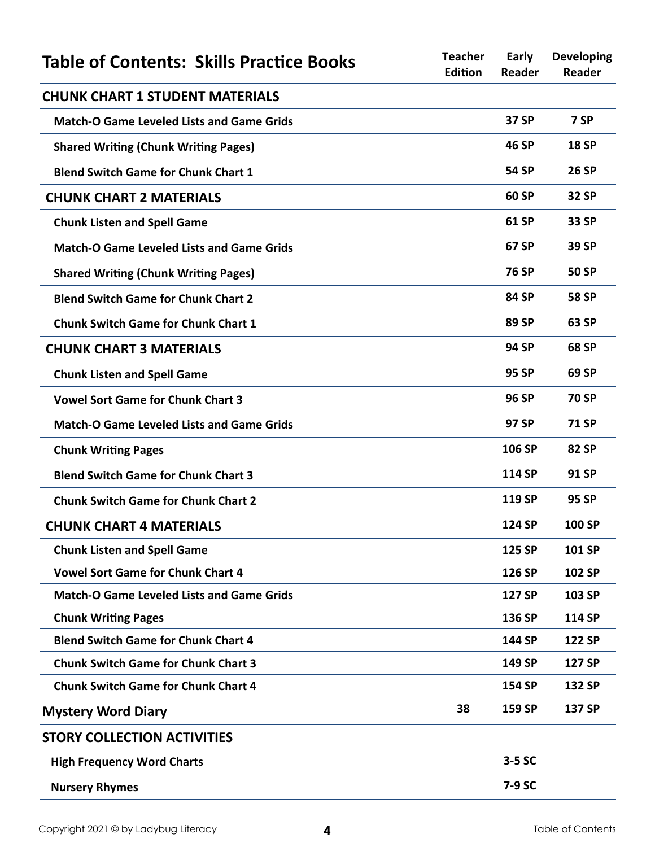| <b>Table of Contents: Skills Practice Books</b>  | <b>Teacher</b><br>Edition | Early<br><b>Reader</b> | <b>Developing</b><br><b>Reader</b> |
|--------------------------------------------------|---------------------------|------------------------|------------------------------------|
| <b>CHUNK CHART 1 STUDENT MATERIALS</b>           |                           |                        |                                    |
| <b>Match-O Game Leveled Lists and Game Grids</b> |                           | 37 SP                  | 7 SP                               |
| <b>Shared Writing (Chunk Writing Pages)</b>      |                           | 46 SP                  | <b>18 SP</b>                       |
| <b>Blend Switch Game for Chunk Chart 1</b>       |                           | 54 SP                  | <b>26 SP</b>                       |
| <b>CHUNK CHART 2 MATERIALS</b>                   |                           | 60 SP                  | 32 SP                              |
| <b>Chunk Listen and Spell Game</b>               |                           | 61 SP                  | 33 SP                              |
| <b>Match-O Game Leveled Lists and Game Grids</b> |                           | 67 SP                  | 39 SP                              |
| <b>Shared Writing (Chunk Writing Pages)</b>      |                           | <b>76 SP</b>           | 50 SP                              |
| <b>Blend Switch Game for Chunk Chart 2</b>       |                           | 84 SP                  | <b>58 SP</b>                       |
| <b>Chunk Switch Game for Chunk Chart 1</b>       |                           | 89 SP                  | 63 SP                              |
| <b>CHUNK CHART 3 MATERIALS</b>                   |                           | <b>94 SP</b>           | <b>68 SP</b>                       |
| <b>Chunk Listen and Spell Game</b>               |                           | 95 SP                  | 69 SP                              |
| <b>Vowel Sort Game for Chunk Chart 3</b>         |                           | <b>96 SP</b>           | <b>70 SP</b>                       |
| <b>Match-O Game Leveled Lists and Game Grids</b> |                           | 97 SP                  | <b>71 SP</b>                       |
| <b>Chunk Writing Pages</b>                       |                           | 106 SP                 | <b>82 SP</b>                       |
| <b>Blend Switch Game for Chunk Chart 3</b>       |                           | <b>114 SP</b>          | 91 SP                              |
| <b>Chunk Switch Game for Chunk Chart 2</b>       |                           | 119 SP                 | 95 SP                              |
| <b>CHUNK CHART 4 MATERIALS</b>                   |                           | 124 SP                 | 100 SP                             |
| <b>Chunk Listen and Spell Game</b>               |                           | 125 SP                 | 101 SP                             |
| <b>Vowel Sort Game for Chunk Chart 4</b>         |                           | 126 SP                 | 102 SP                             |
| <b>Match-O Game Leveled Lists and Game Grids</b> |                           | 127 SP                 | 103 SP                             |
| <b>Chunk Writing Pages</b>                       |                           | 136 SP                 | 114 SP                             |
| <b>Blend Switch Game for Chunk Chart 4</b>       |                           | 144 SP                 | <b>122 SP</b>                      |
| <b>Chunk Switch Game for Chunk Chart 3</b>       |                           | 149 SP                 | <b>127 SP</b>                      |
| <b>Chunk Switch Game for Chunk Chart 4</b>       |                           | 154 SP                 | 132 SP                             |
| <b>Mystery Word Diary</b>                        | 38                        | 159 SP                 | 137 SP                             |
| <b>STORY COLLECTION ACTIVITIES</b>               |                           |                        |                                    |
| <b>High Frequency Word Charts</b>                |                           | 3-5 SC                 |                                    |
| <b>Nursery Rhymes</b>                            |                           | 7-9 SC                 |                                    |